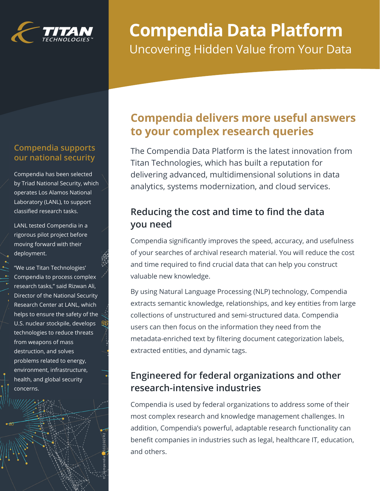

# **Compendia Data Platform** Uncovering Hidden Value from Your Data

### **Compendia supports our national security**

Compendia has been selected by Triad National Security, which operates Los Alamos National Laboratory (LANL), to support classified research tasks.

LANL tested Compendia in a rigorous pilot project before moving forward with their deployment.

"We use Titan Technologies' Compendia to process complex research tasks," said Rizwan Ali, Director of the National Security Research Center at LANL, which helps to ensure the safety of the U.S. nuclear stockpile, develops technologies to reduce threats from weapons of mass destruction, and solves problems related to energy, environment, infrastructure, health, and global security concerns.

tt\_compendia\_<mark>1</mark>5022022R2

# **Compendia delivers more useful answers to your complex research queries**

The Compendia Data Platform is the latest innovation from Titan Technologies, which has built a reputation for delivering advanced, multidimensional solutions in data analytics, systems modernization, and cloud services.

### **Reducing the cost and time to find the data you need**

Compendia significantly improves the speed, accuracy, and usefulness of your searches of archival research material. You will reduce the cost and time required to find crucial data that can help you construct valuable new knowledge.

By using Natural Language Processing (NLP) technology, Compendia extracts semantic knowledge, relationships, and key entities from large collections of unstructured and semi-structured data. Compendia users can then focus on the information they need from the metadata-enriched text by filtering document categorization labels, extracted entities, and dynamic tags.

### **Engineered for federal organizations and other research-intensive industries**

Compendia is used by federal organizations to address some of their most complex research and knowledge management challenges. In addition, Compendia's powerful, adaptable research functionality can benefit companies in industries such as legal, healthcare IT, education, and others.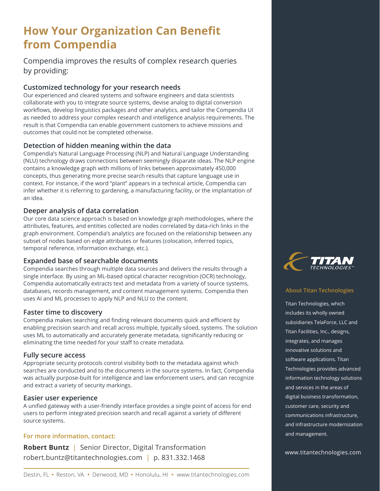## **How Your Organization Can Benefit from Compendia**

Compendia improves the results of complex research queries by providing:

#### **Customized technology for your research needs**

Our experienced and cleared systems and software engineers and data scientists collaborate with you to integrate source systems, devise analog to digital conversion workflows, develop linguistics packages and other analytics, and tailor the Compendia UI as needed to address your complex research and intelligence analysis requirements. The result is that Compendia can enable government customers to achieve missions and outcomes that could not be completed otherwise.

#### **Detection of hidden meaning within the data**

Compendia's Natural Language Processing (NLP) and Natural Language Understanding (NLU) technology draws connections between seemingly disparate ideas. The NLP engine contains a knowledge graph with millions of links between approximately 450,000 concepts, thus generating more precise search results that capture language use in context. For instance, if the word "plant" appears in a technical article, Compendia can infer whether it is referring to gardening, a manufacturing facility, or the implantation of an idea.

#### **Deeper analysis of data correlation**

Our core data science approach is based on knowledge graph methodologies, where the attributes, features, and entities collected are nodes correlated by data-rich links in the graph environment. Compendia's analytics are focused on the relationship between any subset of nodes based on edge attributes or features (colocation, inferred topics, temporal reference, information exchange, etc.).

#### **Expanded base of searchable documents**

Compendia searches through multiple data sources and delivers the results through a single interface. By using an ML-based optical character recognition (OCR) technology, Compendia automatically extracts text and metadata from a variety of source systems, databases, records management, and content management systems. Compendia then uses AI and ML processes to apply NLP and NLU to the content.

#### **Faster time to discovery**

Compendia makes searching and finding relevant documents quick and efficient by enabling precision search and recall across multiple, typically siloed, systems. The solution uses ML to automatically and accurately generate metadata, significantly reducing or eliminating the time needed for your staff to create metadata.

#### **Fully secure access**

Appropriate security protocols control visibility both to the metadata against which searches are conducted and to the documents in the source systems. In fact, Compendia was actually purpose-built for intelligence and law enforcement users, and can recognize and extract a variety of security markings.

#### **Easier user experience**

A unified gateway with a user-friendly interface provides a single point of access for end users to perform integrated precision search and recall against a variety of different source systems.

#### **For more information, contact:**

**Robert Buntz** | Senior Director, Digital Transformation robert.buntz@titantechnologies.com | p. 831.332.1468



#### **About Titan Technologies**

Titan Technologies, which includes its wholly owned subsidiaries TelaForce, LLC and Titan Facilities, Inc., designs, integrates, and manages innovative solutions and software applications. Titan Technologies provides advanced information technology solutions and services in the areas of digital business transformation, customer care, security and communications infrastructure, and infrastructure modernization and management.

www.titantechnologies.com